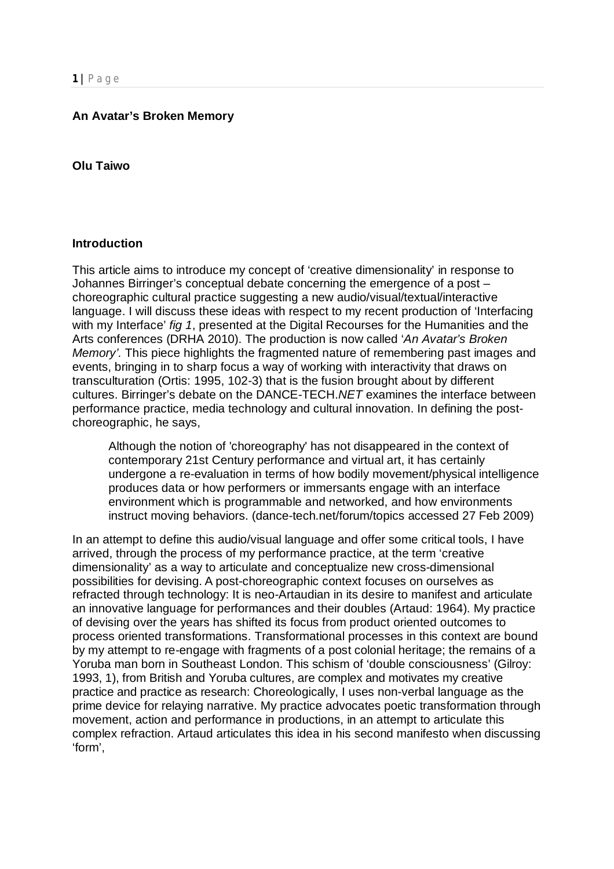## **An Avatar's Broken Memory**

#### **Olu Taiwo**

### **Introduction**

This article aims to introduce my concept of 'creative dimensionality' in response to Johannes Birringer's conceptual debate concerning the emergence of a post – choreographic cultural practice suggesting a new audio/visual/textual/interactive language. I will discuss these ideas with respect to my recent production of 'Interfacing with my Interface' *fig 1*, presented at the Digital Recourses for the Humanities and the Arts conferences (DRHA 2010). The production is now called '*An Avatar's Broken Memory'.* This piece highlights the fragmented nature of remembering past images and events, bringing in to sharp focus a way of working with interactivity that draws on transculturation (Ortis: 1995, 102-3) that is the fusion brought about by different cultures. Birringer's debate on the DANCE-TECH.*NET* examines the interface between performance practice, media technology and cultural innovation. In defining the postchoreographic, he says,

Although the notion of 'choreography' has not disappeared in the context of contemporary 21st Century performance and virtual art, it has certainly undergone a re-evaluation in terms of how bodily movement/physical intelligence produces data or how performers or immersants engage with an interface environment which is programmable and networked, and how environments instruct moving behaviors. (dance-tech.net/forum/topics accessed 27 Feb 2009)

In an attempt to define this audio/visual language and offer some critical tools, I have arrived, through the process of my performance practice, at the term 'creative dimensionality' as a way to articulate and conceptualize new cross-dimensional possibilities for devising. A post-choreographic context focuses on ourselves as refracted through technology: It is neo-Artaudian in its desire to manifest and articulate an innovative language for performances and their doubles (Artaud: 1964). My practice of devising over the years has shifted its focus from product oriented outcomes to process oriented transformations. Transformational processes in this context are bound by my attempt to re-engage with fragments of a post colonial heritage; the remains of a Yoruba man born in Southeast London. This schism of 'double consciousness' (Gilroy: 1993, 1), from British and Yoruba cultures, are complex and motivates my creative practice and practice as research: Choreologically, I uses non-verbal language as the prime device for relaying narrative. My practice advocates poetic transformation through movement, action and performance in productions, in an attempt to articulate this complex refraction. Artaud articulates this idea in his second manifesto when discussing 'form',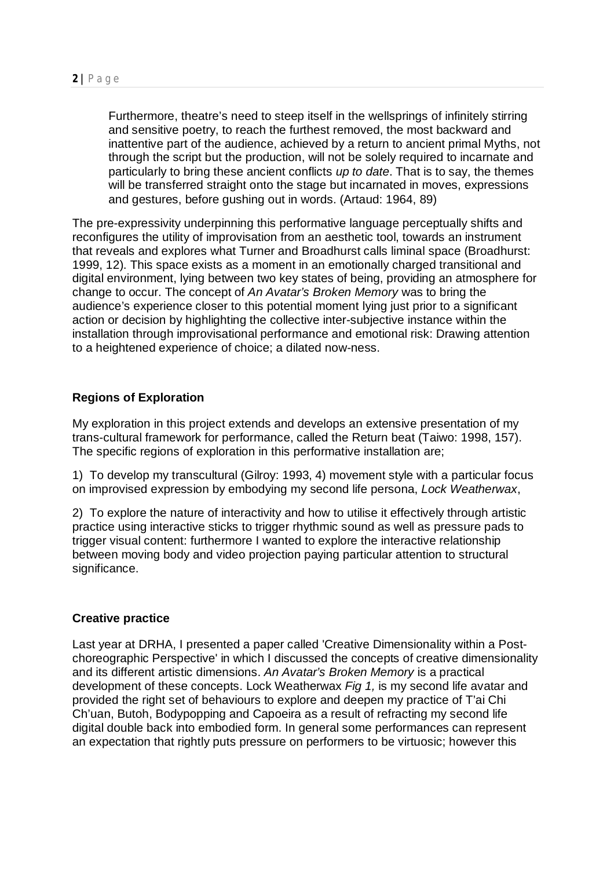Furthermore, theatre's need to steep itself in the wellsprings of infinitely stirring and sensitive poetry, to reach the furthest removed, the most backward and inattentive part of the audience, achieved by a return to ancient primal Myths, not through the script but the production, will not be solely required to incarnate and particularly to bring these ancient conflicts *up to date*. That is to say, the themes will be transferred straight onto the stage but incarnated in moves, expressions and gestures, before gushing out in words. (Artaud: 1964, 89)

The pre-expressivity underpinning this performative language perceptually shifts and reconfigures the utility of improvisation from an aesthetic tool, towards an instrument that reveals and explores what Turner and Broadhurst calls liminal space (Broadhurst: 1999, 12). This space exists as a moment in an emotionally charged transitional and digital environment, lying between two key states of being, providing an atmosphere for change to occur. The concept of *An Avatar's Broken Memory* was to bring the audience's experience closer to this potential moment lying just prior to a significant action or decision by highlighting the collective inter-subjective instance within the installation through improvisational performance and emotional risk: Drawing attention to a heightened experience of choice; a dilated now-ness.

# **Regions of Exploration**

My exploration in this project extends and develops an extensive presentation of my trans-cultural framework for performance, called the Return beat (Taiwo: 1998, 157). The specific regions of exploration in this performative installation are;

1) To develop my transcultural (Gilroy: 1993, 4) movement style with a particular focus on improvised expression by embodying my second life persona, *Lock Weatherwax*,

2) To explore the nature of interactivity and how to utilise it effectively through artistic practice using interactive sticks to trigger rhythmic sound as well as pressure pads to trigger visual content: furthermore I wanted to explore the interactive relationship between moving body and video projection paying particular attention to structural significance.

## **Creative practice**

Last year at DRHA, I presented a paper called 'Creative Dimensionality within a Postchoreographic Perspective' in which I discussed the concepts of creative dimensionality and its different artistic dimensions. *An Avatar's Broken Memory* is a practical development of these concepts. Lock Weatherwax *Fig 1,* is my second life avatar and provided the right set of behaviours to explore and deepen my practice of T'ai Chi Ch'uan, Butoh, Bodypopping and Capoeira as a result of refracting my second life digital double back into embodied form. In general some performances can represent an expectation that rightly puts pressure on performers to be virtuosic; however this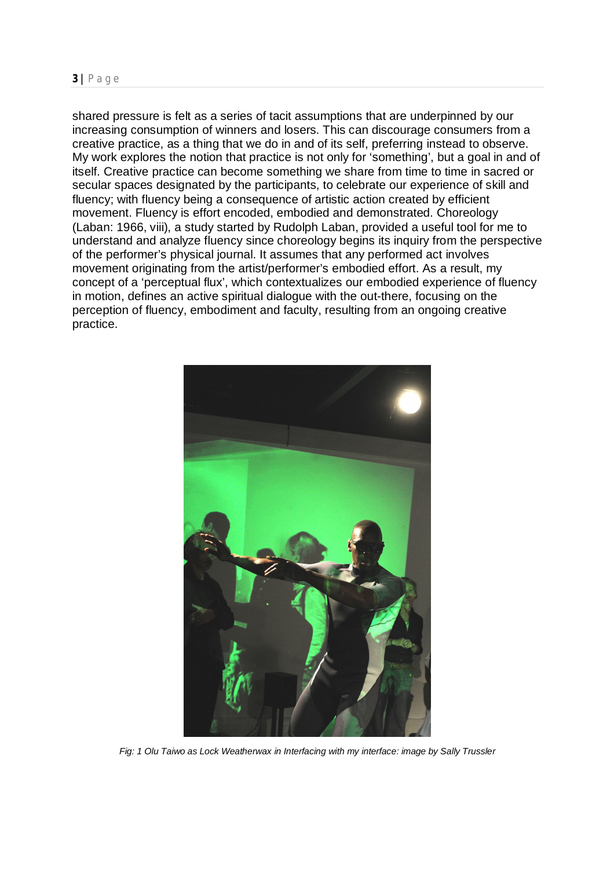shared pressure is felt as a series of tacit assumptions that are underpinned by our increasing consumption of winners and losers. This can discourage consumers from a creative practice, as a thing that we do in and of its self, preferring instead to observe. My work explores the notion that practice is not only for 'something', but a goal in and of itself. Creative practice can become something we share from time to time in sacred or secular spaces designated by the participants, to celebrate our experience of skill and fluency; with fluency being a consequence of artistic action created by efficient movement. Fluency is effort encoded, embodied and demonstrated. Choreology (Laban: 1966, viii), a study started by Rudolph Laban, provided a useful tool for me to understand and analyze fluency since choreology begins its inquiry from the perspective of the performer's physical journal. It assumes that any performed act involves movement originating from the artist/performer's embodied effort. As a result, my concept of a 'perceptual flux', which contextualizes our embodied experience of fluency in motion, defines an active spiritual dialogue with the out-there, focusing on the perception of fluency, embodiment and faculty, resulting from an ongoing creative practice.



*Fig: 1 Olu Taiwo as Lock Weatherwax in Interfacing with my interface: image by Sally Trussler*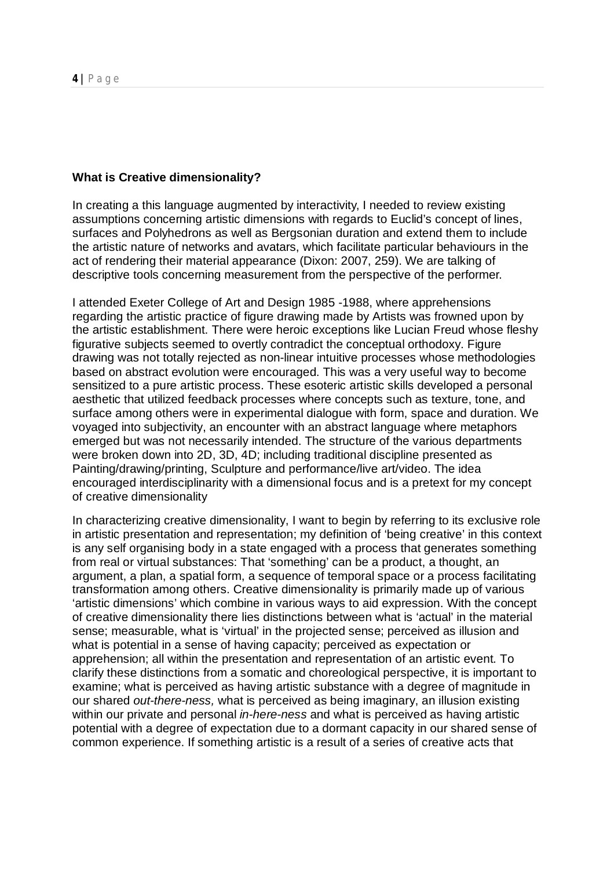### **What is Creative dimensionality?**

In creating a this language augmented by interactivity, I needed to review existing assumptions concerning artistic dimensions with regards to Euclid's concept of lines, surfaces and Polyhedrons as well as Bergsonian duration and extend them to include the artistic nature of networks and avatars, which facilitate particular behaviours in the act of rendering their material appearance (Dixon: 2007, 259). We are talking of descriptive tools concerning measurement from the perspective of the performer.

I attended Exeter College of Art and Design 1985 -1988, where apprehensions regarding the artistic practice of figure drawing made by Artists was frowned upon by the artistic establishment. There were heroic exceptions like Lucian Freud whose fleshy figurative subjects seemed to overtly contradict the conceptual orthodoxy. Figure drawing was not totally rejected as non-linear intuitive processes whose methodologies based on abstract evolution were encouraged. This was a very useful way to become sensitized to a pure artistic process. These esoteric artistic skills developed a personal aesthetic that utilized feedback processes where concepts such as texture, tone, and surface among others were in experimental dialogue with form, space and duration. We voyaged into subjectivity, an encounter with an abstract language where metaphors emerged but was not necessarily intended. The structure of the various departments were broken down into 2D, 3D, 4D; including traditional discipline presented as Painting/drawing/printing, Sculpture and performance/live art/video. The idea encouraged interdisciplinarity with a dimensional focus and is a pretext for my concept of creative dimensionality

In characterizing creative dimensionality, I want to begin by referring to its exclusive role in artistic presentation and representation; my definition of 'being creative' in this context is any self organising body in a state engaged with a process that generates something from real or virtual substances: That 'something' can be a product, a thought, an argument, a plan, a spatial form, a sequence of temporal space or a process facilitating transformation among others. Creative dimensionality is primarily made up of various 'artistic dimensions' which combine in various ways to aid expression. With the concept of creative dimensionality there lies distinctions between what is 'actual' in the material sense; measurable, what is 'virtual' in the projected sense; perceived as illusion and what is potential in a sense of having capacity; perceived as expectation or apprehension; all within the presentation and representation of an artistic event. To clarify these distinctions from a somatic and choreological perspective, it is important to examine; what is perceived as having artistic substance with a degree of magnitude in our shared *out-there-ness,* what is perceived as being imaginary, an illusion existing within our private and personal *in-here-ness* and what is perceived as having artistic potential with a degree of expectation due to a dormant capacity in our shared sense of common experience. If something artistic is a result of a series of creative acts that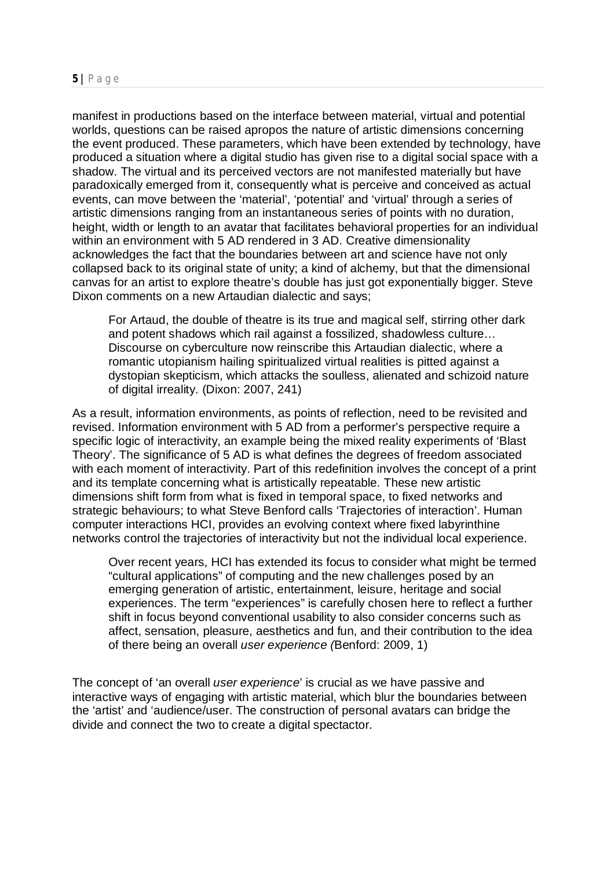manifest in productions based on the interface between material, virtual and potential worlds, questions can be raised apropos the nature of artistic dimensions concerning the event produced. These parameters, which have been extended by technology, have produced a situation where a digital studio has given rise to a digital social space with a shadow. The virtual and its perceived vectors are not manifested materially but have paradoxically emerged from it, consequently what is perceive and conceived as actual events, can move between the 'material', 'potential' and 'virtual' through a series of artistic dimensions ranging from an instantaneous series of points with no duration, height, width or length to an avatar that facilitates behavioral properties for an individual within an environment with 5 AD rendered in 3 AD. Creative dimensionality acknowledges the fact that the boundaries between art and science have not only collapsed back to its original state of unity; a kind of alchemy, but that the dimensional canvas for an artist to explore theatre's double has just got exponentially bigger. Steve Dixon comments on a new Artaudian dialectic and says;

For Artaud, the double of theatre is its true and magical self, stirring other dark and potent shadows which rail against a fossilized, shadowless culture… Discourse on cyberculture now reinscribe this Artaudian dialectic, where a romantic utopianism hailing spiritualized virtual realities is pitted against a dystopian skepticism, which attacks the soulless, alienated and schizoid nature of digital irreality. (Dixon: 2007, 241)

As a result, information environments, as points of reflection, need to be revisited and revised. Information environment with 5 AD from a performer's perspective require a specific logic of interactivity, an example being the mixed reality experiments of 'Blast Theory'. The significance of 5 AD is what defines the degrees of freedom associated with each moment of interactivity. Part of this redefinition involves the concept of a print and its template concerning what is artistically repeatable. These new artistic dimensions shift form from what is fixed in temporal space, to fixed networks and strategic behaviours; to what Steve Benford calls 'Trajectories of interaction'. Human computer interactions HCI, provides an evolving context where fixed labyrinthine networks control the trajectories of interactivity but not the individual local experience.

Over recent years, HCI has extended its focus to consider what might be termed "cultural applications" of computing and the new challenges posed by an emerging generation of artistic, entertainment, leisure, heritage and social experiences. The term "experiences" is carefully chosen here to reflect a further shift in focus beyond conventional usability to also consider concerns such as affect, sensation, pleasure, aesthetics and fun, and their contribution to the idea of there being an overall *user experience (*Benford: 2009, 1)

The concept of 'an overall *user experience*' is crucial as we have passive and interactive ways of engaging with artistic material, which blur the boundaries between the 'artist' and 'audience/user. The construction of personal avatars can bridge the divide and connect the two to create a digital spectactor.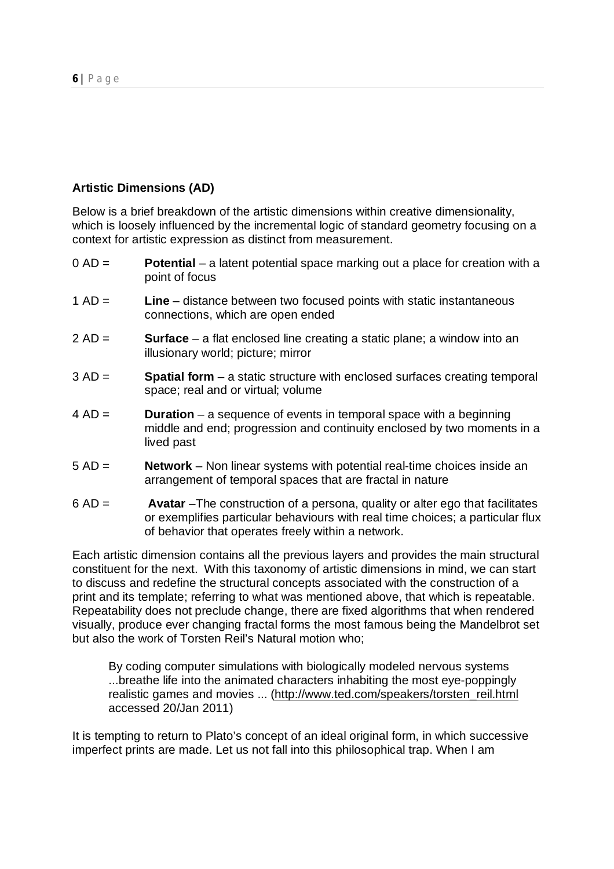# **Artistic Dimensions (AD)**

Below is a brief breakdown of the artistic dimensions within creative dimensionality, which is loosely influenced by the incremental logic of standard geometry focusing on a context for artistic expression as distinct from measurement.

- 0 AD = **Potential** a latent potential space marking out a place for creation with a point of focus
- 1 AD = **Line** distance between two focused points with static instantaneous connections, which are open ended
- 2 AD = **Surface** a flat enclosed line creating a static plane; a window into an illusionary world; picture; mirror
- 3 AD = **Spatial form** a static structure with enclosed surfaces creating temporal space; real and or virtual; volume
- 4 AD = **Duration** a sequence of events in temporal space with a beginning middle and end; progression and continuity enclosed by two moments in a lived past
- 5 AD = **Network** Non linear systems with potential real-time choices inside an arrangement of temporal spaces that are fractal in nature
- 6 AD = **Avatar** –The construction of a persona, quality or alter ego that facilitates or exemplifies particular behaviours with real time choices; a particular flux of behavior that operates freely within a network.

Each artistic dimension contains all the previous layers and provides the main structural constituent for the next. With this taxonomy of artistic dimensions in mind, we can start to discuss and redefine the structural concepts associated with the construction of a print and its template; referring to what was mentioned above, that which is repeatable. Repeatability does not preclude change, there are fixed algorithms that when rendered visually, produce ever changing fractal forms the most famous being the Mandelbrot set but also the work of Torsten Reil's Natural motion who;

By coding computer simulations with biologically modeled nervous systems ...breathe life into the animated characters inhabiting the most eye-poppingly realistic games and movies ... (http://www.ted.com/speakers/torsten\_reil.html accessed 20/Jan 2011)

It is tempting to return to Plato's concept of an ideal original form, in which successive imperfect prints are made. Let us not fall into this philosophical trap. When I am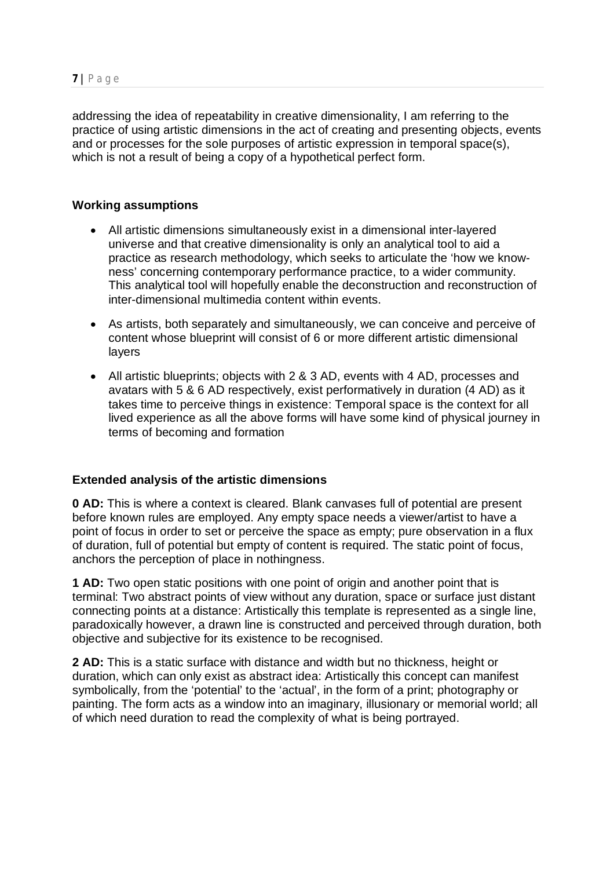addressing the idea of repeatability in creative dimensionality, I am referring to the practice of using artistic dimensions in the act of creating and presenting objects, events and or processes for the sole purposes of artistic expression in temporal space(s), which is not a result of being a copy of a hypothetical perfect form.

## **Working assumptions**

- All artistic dimensions simultaneously exist in a dimensional inter-layered universe and that creative dimensionality is only an analytical tool to aid a practice as research methodology, which seeks to articulate the 'how we knowness' concerning contemporary performance practice, to a wider community. This analytical tool will hopefully enable the deconstruction and reconstruction of inter-dimensional multimedia content within events.
- As artists, both separately and simultaneously, we can conceive and perceive of content whose blueprint will consist of 6 or more different artistic dimensional layers
- All artistic blueprints; objects with 2 & 3 AD, events with 4 AD, processes and avatars with 5 & 6 AD respectively, exist performatively in duration (4 AD) as it takes time to perceive things in existence: Temporal space is the context for all lived experience as all the above forms will have some kind of physical journey in terms of becoming and formation

## **Extended analysis of the artistic dimensions**

**0 AD:** This is where a context is cleared. Blank canvases full of potential are present before known rules are employed. Any empty space needs a viewer/artist to have a point of focus in order to set or perceive the space as empty; pure observation in a flux of duration, full of potential but empty of content is required. The static point of focus, anchors the perception of place in nothingness.

**1 AD:** Two open static positions with one point of origin and another point that is terminal: Two abstract points of view without any duration, space or surface just distant connecting points at a distance: Artistically this template is represented as a single line, paradoxically however, a drawn line is constructed and perceived through duration, both objective and subjective for its existence to be recognised.

**2 AD:** This is a static surface with distance and width but no thickness, height or duration, which can only exist as abstract idea: Artistically this concept can manifest symbolically, from the 'potential' to the 'actual', in the form of a print; photography or painting. The form acts as a window into an imaginary, illusionary or memorial world; all of which need duration to read the complexity of what is being portrayed.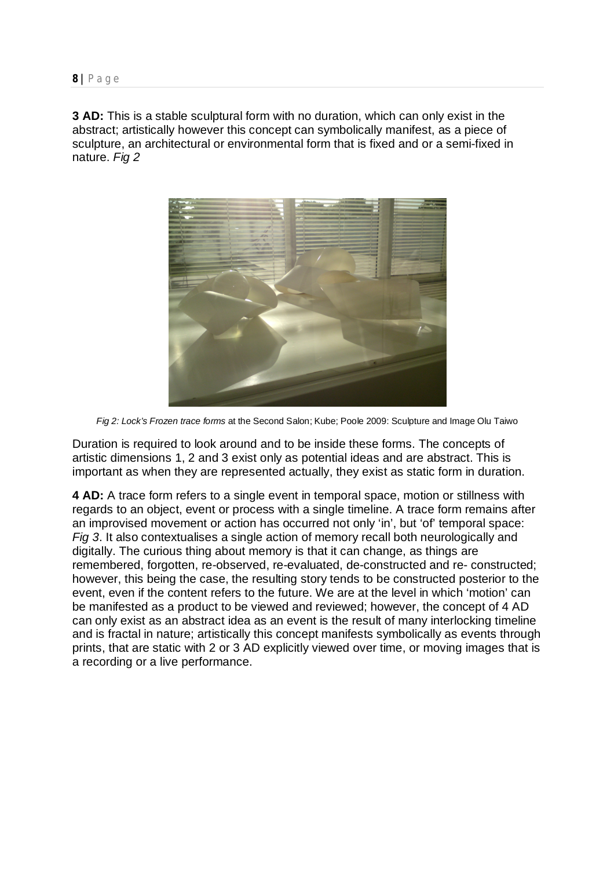**3 AD:** This is a stable sculptural form with no duration, which can only exist in the abstract; artistically however this concept can symbolically manifest, as a piece of sculpture, an architectural or environmental form that is fixed and or a semi-fixed in nature. *Fig 2*



*Fig 2: Lock's Frozen trace forms* at the Second Salon; Kube; Poole 2009: Sculpture and Image Olu Taiwo

Duration is required to look around and to be inside these forms. The concepts of artistic dimensions 1, 2 and 3 exist only as potential ideas and are abstract. This is important as when they are represented actually, they exist as static form in duration.

**4 AD:** A trace form refers to a single event in temporal space, motion or stillness with regards to an object, event or process with a single timeline. A trace form remains after an improvised movement or action has occurred not only 'in', but 'of' temporal space: *Fig 3*. It also contextualises a single action of memory recall both neurologically and digitally. The curious thing about memory is that it can change, as things are remembered, forgotten, re-observed, re-evaluated, de-constructed and re- constructed; however, this being the case, the resulting story tends to be constructed posterior to the event, even if the content refers to the future. We are at the level in which 'motion' can be manifested as a product to be viewed and reviewed; however, the concept of 4 AD can only exist as an abstract idea as an event is the result of many interlocking timeline and is fractal in nature; artistically this concept manifests symbolically as events through prints, that are static with 2 or 3 AD explicitly viewed over time, or moving images that is a recording or a live performance.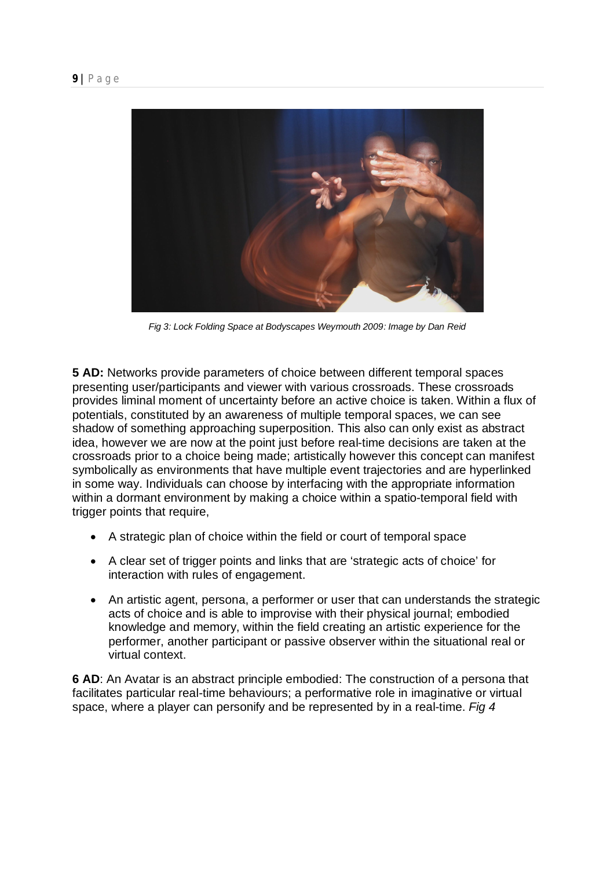

*Fig 3: Lock Folding Space at Bodyscapes Weymouth 2009: Image by Dan Reid*

**5 AD:** Networks provide parameters of choice between different temporal spaces presenting user/participants and viewer with various crossroads. These crossroads provides liminal moment of uncertainty before an active choice is taken. Within a flux of potentials, constituted by an awareness of multiple temporal spaces, we can see shadow of something approaching superposition. This also can only exist as abstract idea, however we are now at the point just before real-time decisions are taken at the crossroads prior to a choice being made; artistically however this concept can manifest symbolically as environments that have multiple event trajectories and are hyperlinked in some way. Individuals can choose by interfacing with the appropriate information within a dormant environment by making a choice within a spatio-temporal field with trigger points that require,

- A strategic plan of choice within the field or court of temporal space
- A clear set of trigger points and links that are 'strategic acts of choice' for interaction with rules of engagement.
- An artistic agent, persona, a performer or user that can understands the strategic acts of choice and is able to improvise with their physical journal; embodied knowledge and memory, within the field creating an artistic experience for the performer, another participant or passive observer within the situational real or virtual context.

**6 AD**: An Avatar is an abstract principle embodied: The construction of a persona that facilitates particular real-time behaviours; a performative role in imaginative or virtual space, where a player can personify and be represented by in a real-time. *Fig 4*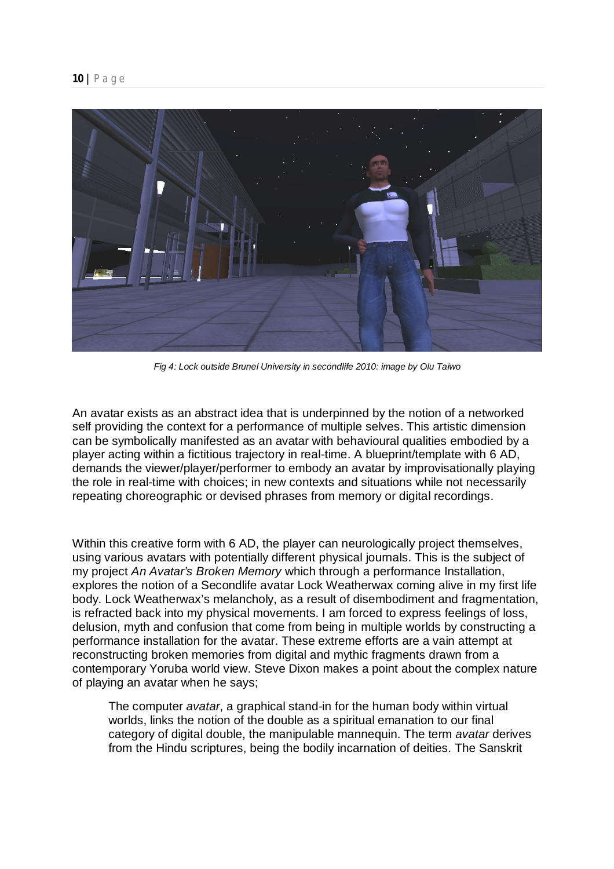

*Fig 4: Lock outside Brunel University in secondlife 2010: image by Olu Taiwo*

An avatar exists as an abstract idea that is underpinned by the notion of a networked self providing the context for a performance of multiple selves. This artistic dimension can be symbolically manifested as an avatar with behavioural qualities embodied by a player acting within a fictitious trajectory in real-time. A blueprint/template with 6 AD, demands the viewer/player/performer to embody an avatar by improvisationally playing the role in real-time with choices; in new contexts and situations while not necessarily repeating choreographic or devised phrases from memory or digital recordings.

Within this creative form with 6 AD, the player can neurologically project themselves, using various avatars with potentially different physical journals. This is the subject of my project *An Avatar's Broken Memory* which through a performance Installation, explores the notion of a Secondlife avatar Lock Weatherwax coming alive in my first life body. Lock Weatherwax's melancholy, as a result of disembodiment and fragmentation, is refracted back into my physical movements. I am forced to express feelings of loss, delusion, myth and confusion that come from being in multiple worlds by constructing a performance installation for the avatar. These extreme efforts are a vain attempt at reconstructing broken memories from digital and mythic fragments drawn from a contemporary Yoruba world view. Steve Dixon makes a point about the complex nature of playing an avatar when he says;

The computer *avatar*, a graphical stand-in for the human body within virtual worlds, links the notion of the double as a spiritual emanation to our final category of digital double, the manipulable mannequin. The term *avatar* derives from the Hindu scriptures, being the bodily incarnation of deities. The Sanskrit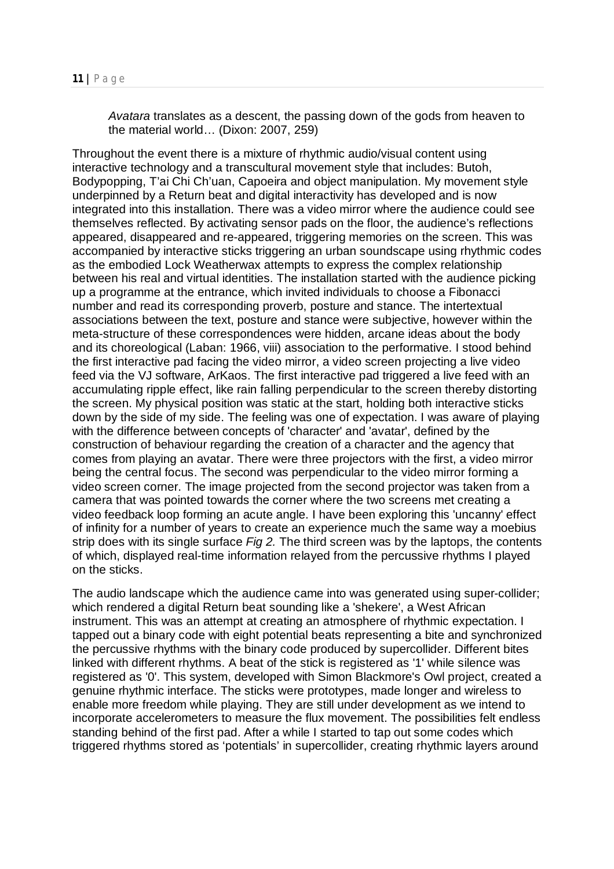*Avatara* translates as a descent, the passing down of the gods from heaven to the material world… (Dixon: 2007, 259)

Throughout the event there is a mixture of rhythmic audio/visual content using interactive technology and a transcultural movement style that includes: Butoh, Bodypopping, T'ai Chi Ch'uan, Capoeira and object manipulation. My movement style underpinned by a Return beat and digital interactivity has developed and is now integrated into this installation. There was a video mirror where the audience could see themselves reflected. By activating sensor pads on the floor, the audience's reflections appeared, disappeared and re-appeared, triggering memories on the screen. This was accompanied by interactive sticks triggering an urban soundscape using rhythmic codes as the embodied Lock Weatherwax attempts to express the complex relationship between his real and virtual identities. The installation started with the audience picking up a programme at the entrance, which invited individuals to choose a Fibonacci number and read its corresponding proverb, posture and stance. The intertextual associations between the text, posture and stance were subjective, however within the meta-structure of these correspondences were hidden, arcane ideas about the body and its choreological (Laban: 1966, viii) association to the performative. I stood behind the first interactive pad facing the video mirror, a video screen projecting a live video feed via the VJ software, ArKaos. The first interactive pad triggered a live feed with an accumulating ripple effect, like rain falling perpendicular to the screen thereby distorting the screen. My physical position was static at the start, holding both interactive sticks down by the side of my side. The feeling was one of expectation. I was aware of playing with the difference between concepts of 'character' and 'avatar', defined by the construction of behaviour regarding the creation of a character and the agency that comes from playing an avatar. There were three projectors with the first, a video mirror being the central focus. The second was perpendicular to the video mirror forming a video screen corner. The image projected from the second projector was taken from a camera that was pointed towards the corner where the two screens met creating a video feedback loop forming an acute angle. I have been exploring this 'uncanny' effect of infinity for a number of years to create an experience much the same way a moebius strip does with its single surface *Fig 2.* The third screen was by the laptops, the contents of which, displayed real-time information relayed from the percussive rhythms I played on the sticks.

The audio landscape which the audience came into was generated using super-collider; which rendered a digital Return beat sounding like a 'shekere', a West African instrument. This was an attempt at creating an atmosphere of rhythmic expectation. I tapped out a binary code with eight potential beats representing a bite and synchronized the percussive rhythms with the binary code produced by supercollider. Different bites linked with different rhythms. A beat of the stick is registered as '1' while silence was registered as '0'. This system, developed with Simon Blackmore's Owl project, created a genuine rhythmic interface. The sticks were prototypes, made longer and wireless to enable more freedom while playing. They are still under development as we intend to incorporate accelerometers to measure the flux movement. The possibilities felt endless standing behind of the first pad. After a while I started to tap out some codes which triggered rhythms stored as 'potentials' in supercollider, creating rhythmic layers around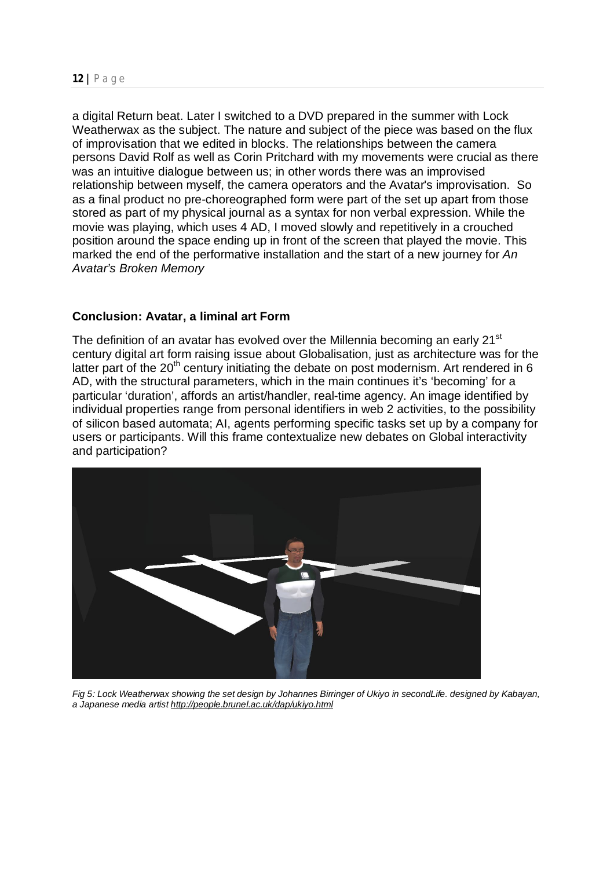a digital Return beat. Later I switched to a DVD prepared in the summer with Lock Weatherwax as the subject. The nature and subject of the piece was based on the flux of improvisation that we edited in blocks. The relationships between the camera persons David Rolf as well as Corin Pritchard with my movements were crucial as there was an intuitive dialogue between us; in other words there was an improvised relationship between myself, the camera operators and the Avatar's improvisation. So as a final product no pre-choreographed form were part of the set up apart from those stored as part of my physical journal as a syntax for non verbal expression. While the movie was playing, which uses 4 AD, I moved slowly and repetitively in a crouched position around the space ending up in front of the screen that played the movie. This marked the end of the performative installation and the start of a new journey for *An Avatar's Broken Memory*

## **Conclusion: Avatar, a liminal art Form**

The definition of an avatar has evolved over the Millennia becoming an early 21<sup>st</sup> century digital art form raising issue about Globalisation, just as architecture was for the latter part of the  $20<sup>th</sup>$  century initiating the debate on post modernism. Art rendered in 6 AD, with the structural parameters, which in the main continues it's 'becoming' for a particular 'duration', affords an artist/handler, real-time agency. An image identified by individual properties range from personal identifiers in web 2 activities, to the possibility of silicon based automata; AI, agents performing specific tasks set up by a company for users or participants. Will this frame contextualize new debates on Global interactivity and participation?



*Fig 5: Lock Weatherwax showing the set design by Johannes Birringer of Ukiyo in secondLife. designed by Kabayan, a Japanese media artist http://people.brunel.ac.uk/dap/ukiyo.html*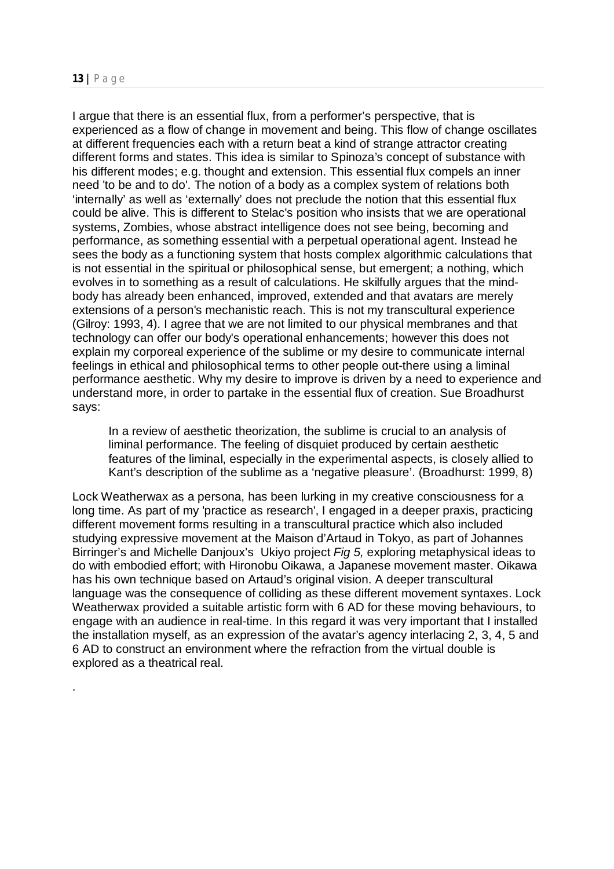.

I argue that there is an essential flux, from a performer's perspective, that is experienced as a flow of change in movement and being. This flow of change oscillates at different frequencies each with a return beat a kind of strange attractor creating different forms and states. This idea is similar to Spinoza's concept of substance with his different modes; e.g. thought and extension. This essential flux compels an inner need 'to be and to do'. The notion of a body as a complex system of relations both 'internally' as well as 'externally' does not preclude the notion that this essential flux could be alive. This is different to Stelac's position who insists that we are operational systems, Zombies, whose abstract intelligence does not see being, becoming and performance, as something essential with a perpetual operational agent. Instead he sees the body as a functioning system that hosts complex algorithmic calculations that is not essential in the spiritual or philosophical sense, but emergent; a nothing, which evolves in to something as a result of calculations. He skilfully argues that the mindbody has already been enhanced, improved, extended and that avatars are merely extensions of a person's mechanistic reach. This is not my transcultural experience (Gilroy: 1993, 4). I agree that we are not limited to our physical membranes and that technology can offer our body's operational enhancements; however this does not explain my corporeal experience of the sublime or my desire to communicate internal feelings in ethical and philosophical terms to other people out-there using a liminal performance aesthetic. Why my desire to improve is driven by a need to experience and understand more, in order to partake in the essential flux of creation. Sue Broadhurst says:

In a review of aesthetic theorization, the sublime is crucial to an analysis of liminal performance. The feeling of disquiet produced by certain aesthetic features of the liminal, especially in the experimental aspects, is closely allied to Kant's description of the sublime as a 'negative pleasure'. (Broadhurst: 1999, 8)

Lock Weatherwax as a persona, has been lurking in my creative consciousness for a long time. As part of my 'practice as research', I engaged in a deeper praxis, practicing different movement forms resulting in a transcultural practice which also included studying expressive movement at the Maison d'Artaud in Tokyo, as part of Johannes Birringer's and Michelle Danjoux's Ukiyo project *Fig 5,* exploring metaphysical ideas to do with embodied effort; with Hironobu Oikawa, a Japanese movement master. Oikawa has his own technique based on Artaud's original vision. A deeper transcultural language was the consequence of colliding as these different movement syntaxes. Lock Weatherwax provided a suitable artistic form with 6 AD for these moving behaviours, to engage with an audience in real-time. In this regard it was very important that I installed the installation myself, as an expression of the avatar's agency interlacing 2, 3, 4, 5 and 6 AD to construct an environment where the refraction from the virtual double is explored as a theatrical real.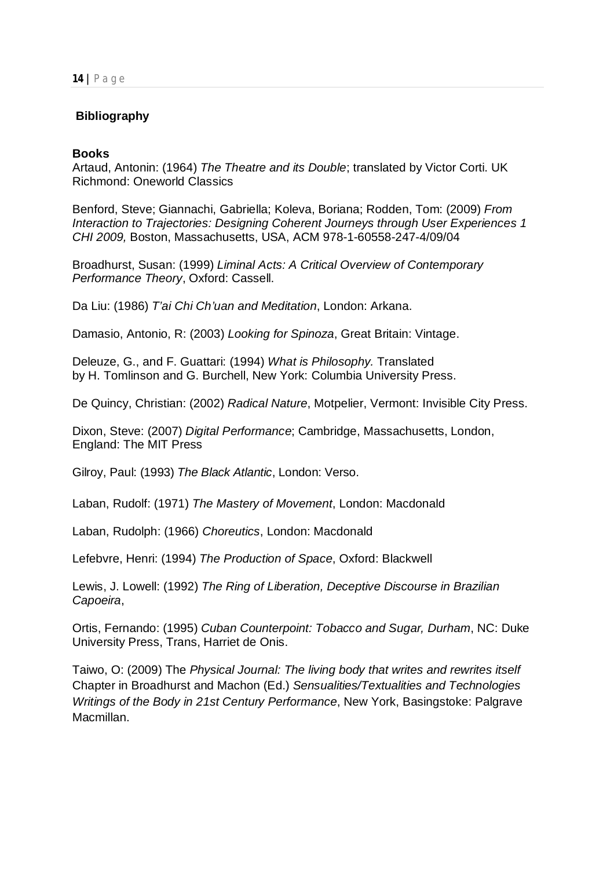### **Bibliography**

#### **Books**

Artaud, Antonin: (1964) *The Theatre and its Double*; translated by Victor Corti. UK Richmond: Oneworld Classics

Benford, Steve; Giannachi, Gabriella; Koleva, Boriana; Rodden, Tom: (2009) *From Interaction to Trajectories: Designing Coherent Journeys through User Experiences 1 CHI 2009,* Boston, Massachusetts, USA, ACM 978-1-60558-247-4/09/04

Broadhurst, Susan: (1999) *Liminal Acts: A Critical Overview of Contemporary Performance Theory*, Oxford: Cassell.

Da Liu: (1986) *T'ai Chi Ch'uan and Meditation*, London: Arkana.

Damasio, Antonio, R: (2003) *Looking for Spinoza*, Great Britain: Vintage.

Deleuze, G., and F. Guattari: (1994) *What is Philosophy.* Translated by H. Tomlinson and G. Burchell, New York: Columbia University Press.

De Quincy, Christian: (2002) *Radical Nature*, Motpelier, Vermont: Invisible City Press.

Dixon, Steve: (2007) *Digital Performance*; Cambridge, Massachusetts, London, England: The MIT Press

Gilroy, Paul: (1993) *The Black Atlantic*, London: Verso.

Laban, Rudolf: (1971) *The Mastery of Movement*, London: Macdonald

Laban, Rudolph: (1966) *Choreutics*, London: Macdonald

Lefebvre, Henri: (1994) *The Production of Space*, Oxford: Blackwell

Lewis, J. Lowell: (1992) *The Ring of Liberation, Deceptive Discourse in Brazilian Capoeira*,

Ortis, Fernando: (1995) *Cuban Counterpoint: Tobacco and Sugar, Durham*, NC: Duke University Press, Trans, Harriet de Onis.

Taiwo, O: (2009) The *Physical Journal: The living body that writes and rewrites itself* Chapter in Broadhurst and Machon (Ed.) *Sensualities/Textualities and Technologies Writings of the Body in 21st Century Performance*, New York, Basingstoke: Palgrave Macmillan.